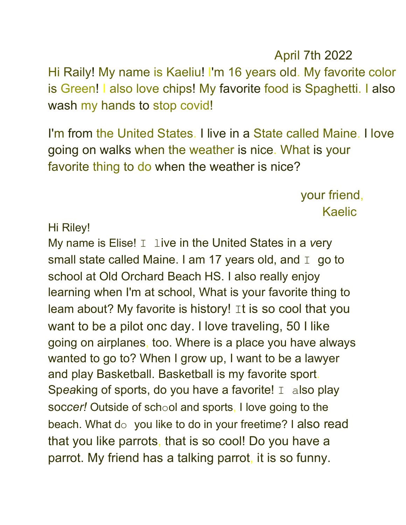Hi Raily! My name is Kaeliu! I'm 16 years old. My favorite color is Green! I also love chips! My favorite food is Spaghetti. I also wash my hands to stop covid!

I'm from the United States. I live in a State called Maine. I love going on walks when the weather is nice. What is your favorite thing to do when the weather is nice?

> your friend, Kaelic

April 7th 2022

Hi Riley!

My name is Elise! I live in the United States in a *v*ery small state called Maine. I am 17 years old, and  $I$  go to school at Old Orchard Beach HS. I also really enjoy learning when I'm at school, What is your favorite thing to leam about? My favorite is history! It is so cool that you want to be a pilot onc day. I love traveling, 50 I like going on airplanes, too. Where is a place you have always wanted to go to? When I grow up, I want to be a lawyer and play Basketball. Basketball is my favorite sport. Speaking of sports, do you have a favorite! I also play soc*cer!* Outside of school and sports, I love going to the beach. What do you like to do in your freetime? I also read that you like parrots, that is so cool! Do you have a parrot. My friend has a talking parrot, it is so funny.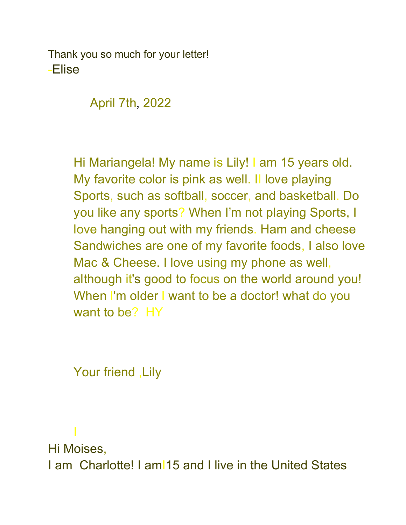Thank you so much for your letter! -Elise

April 7th, 2022

Hi Mariangela! My name is Lily! I am 15 years old. My favorite color is pink as well. II love playing Sports, such as softball, soccer, and basketball. Do you like any sports? When I'm not playing Sports, I love hanging out with my friends. Ham and cheese Sandwiches are one of my favorite foods, I also love Mac & Cheese. I love using my phone as well, although it's good to focus on the world around you! When I'm older I want to be a doctor! what do you want to be? HY

Your friend ,Lily

I

Hi Moises, I am Charlotte! I amI15 and I live in the United States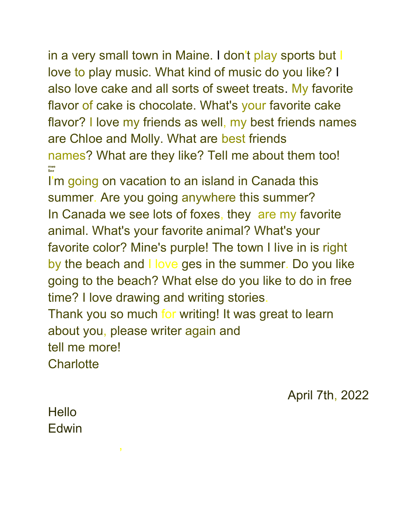in a very small town in Maine. I don't play sports but I love to play music. What kind of music do you like? I also love cake and all sorts of sweet treats. My favorite flavor of cake is chocolate. What's your favorite cake flavor? I love my friends as well, my best friends names are Chloe and Molly. What are best friends names? What are they like? Tell me about them too! **mwe Se***e* 

I'm going on vacation to an island in Canada this summer. Are you going anywhere this summer? In Canada we see lots of foxes, they are my favorite animal. What's your favorite animal? What's your favorite color? Mine's purple! The town I live in is right by the beach and I love ges in the summer. Do you like going to the beach? What else do you like to do in free time? I love drawing and writing stories.

Thank you so much for writing! It was great to learn about you, please writer again and tell me more!

**Charlotte** 

April 7th, 2022

Hello Edwin

,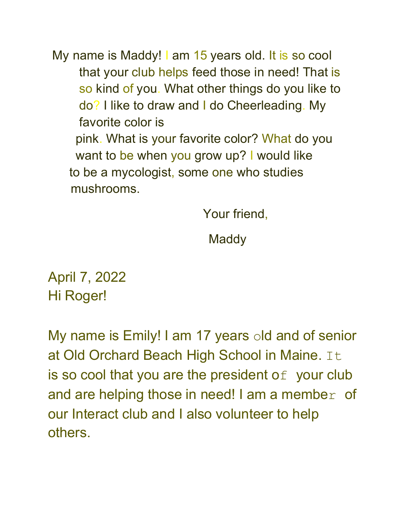My name is Maddy! I am 15 years old. It is so cool that your club helps feed those in need! That is so kind of you. What other things do you like to do? I like to draw and I do Cheerleading. My favorite color is pink. What is your favorite color? What do you want to be when you grow up? I would like to be a mycologist, some one who studies mushrooms.

Your friend,

**Maddy** 

April 7, 2022 Hi Roger!

My name is Emily! I am 17 years old and of senior at Old Orchard Beach High School in Maine. It is so cool that you are the president of your club and are helping those in need! I am a member of our Interact club and I also volunteer to help others.